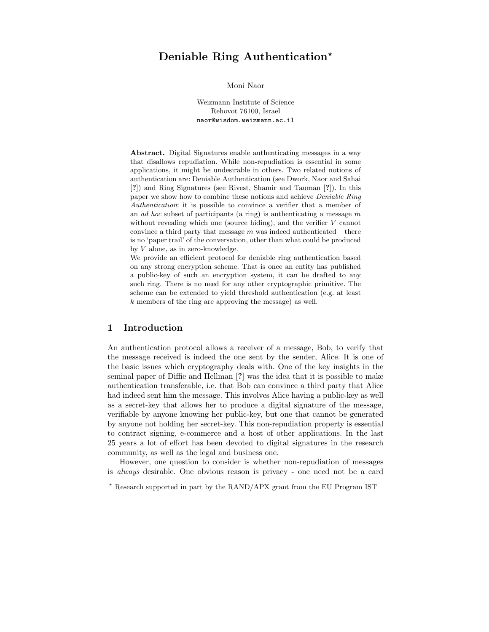# Deniable Ring Authentication<sup>\*</sup>

Moni Naor

Weizmann Institute of Science Rehovot 76100, Israel naor@wisdom.weizmann.ac.il

Abstract. Digital Signatures enable authenticating messages in a way that disallows repudiation. While non-repudiation is essential in some applications, it might be undesirable in others. Two related notions of authentication are: Deniable Authentication (see Dwork, Naor and Sahai [?]) and Ring Signatures (see Rivest, Shamir and Tauman [?]). In this paper we show how to combine these notions and achieve Deniable Ring Authentication: it is possible to convince a verifier that a member of an ad hoc subset of participants (a ring) is authenticating a message  $m$ without revealing which one (source hiding), and the verifier  $V$  cannot convince a third party that message  $m$  was indeed authenticated – there is no 'paper trail' of the conversation, other than what could be produced by V alone, as in zero-knowledge.

We provide an efficient protocol for deniable ring authentication based on any strong encryption scheme. That is once an entity has published a public-key of such an encryption system, it can be drafted to any such ring. There is no need for any other cryptographic primitive. The scheme can be extended to yield threshold authentication (e.g. at least  $k$  members of the ring are approving the message) as well.

# 1 Introduction

An authentication protocol allows a receiver of a message, Bob, to verify that the message received is indeed the one sent by the sender, Alice. It is one of the basic issues which cryptography deals with. One of the key insights in the seminal paper of Diffie and Hellman [?] was the idea that it is possible to make authentication transferable, i.e. that Bob can convince a third party that Alice had indeed sent him the message. This involves Alice having a public-key as well as a secret-key that allows her to produce a digital signature of the message, verifiable by anyone knowing her public-key, but one that cannot be generated by anyone not holding her secret-key. This non-repudiation property is essential to contract signing, e-commerce and a host of other applications. In the last 25 years a lot of effort has been devoted to digital signatures in the research community, as well as the legal and business one.

However, one question to consider is whether non-repudiation of messages is always desirable. One obvious reason is privacy - one need not be a card

<sup>?</sup> Research supported in part by the RAND/APX grant from the EU Program IST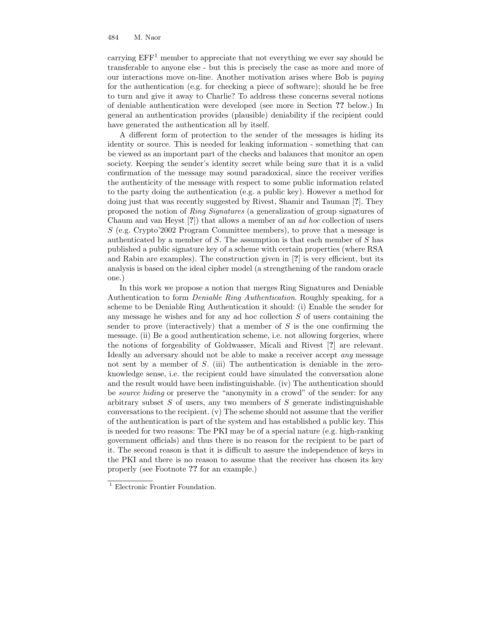carrying  $EFF<sup>1</sup>$  member to appreciate that not everything we ever say should be transferable to anyone else - but this is precisely the case as more and more of our interactions move on-line. Another motivation arises where Bob is paying for the authentication (e.g. for checking a piece of software); should he be free to turn and give it away to Charlie? To address these concerns several notions of deniable authentication were developed (see more in Section ?? below.) In general an authentication provides (plausible) deniability if the recipient could have generated the authentication all by itself.

A different form of protection to the sender of the messages is hiding its identity or source. This is needed for leaking information - something that can be viewed as an important part of the checks and balances that monitor an open society. Keeping the sender's identity secret while being sure that it is a valid confirmation of the message may sound paradoxical, since the receiver verifies the authenticity of the message with respect to some public information related to the party doing the authentication (e.g. a public key). However a method for doing just that was recently suggested by Rivest, Shamir and Tauman [?]. They proposed the notion of Ring Signatures (a generalization of group signatures of Chaum and van Heyst [?]) that allows a member of an ad hoc collection of users S (e.g. Crypto'2002 Program Committee members), to prove that a message is authenticated by a member of S. The assumption is that each member of S has published a public signature key of a scheme with certain properties (where RSA and Rabin are examples). The construction given in [?] is very efficient, but its analysis is based on the ideal cipher model (a strengthening of the random oracle one.)

In this work we propose a notion that merges Ring Signatures and Deniable Authentication to form Deniable Ring Authentication. Roughly speaking, for a scheme to be Deniable Ring Authentication it should: (i) Enable the sender for any message he wishes and for any ad hoc collection  $S$  of users containing the sender to prove (interactively) that a member of  $S$  is the one confirming the message. (ii) Be a good authentication scheme, i.e. not allowing forgeries, where the notions of forgeability of Goldwasser, Micali and Rivest [?] are relevant. Ideally an adversary should not be able to make a receiver accept any message not sent by a member of  $S$ . (iii) The authentication is deniable in the zeroknowledge sense, i.e. the recipient could have simulated the conversation alone and the result would have been indistinguishable. (iv) The authentication should be source hiding or preserve the "anonymity in a crowd" of the sender: for any arbitrary subset  $S$  of users, any two members of  $S$  generate indistinguishable conversations to the recipient. (v) The scheme should not assume that the verifier of the authentication is part of the system and has established a public key. This is needed for two reasons: The PKI may be of a special nature (e.g. high-ranking government officials) and thus there is no reason for the recipient to be part of it. The second reason is that it is difficult to assure the independence of keys in the PKI and there is no reason to assume that the receiver has chosen its key properly (see Footnote ?? for an example.)

<sup>&</sup>lt;sup>1</sup> Electronic Frontier Foundation.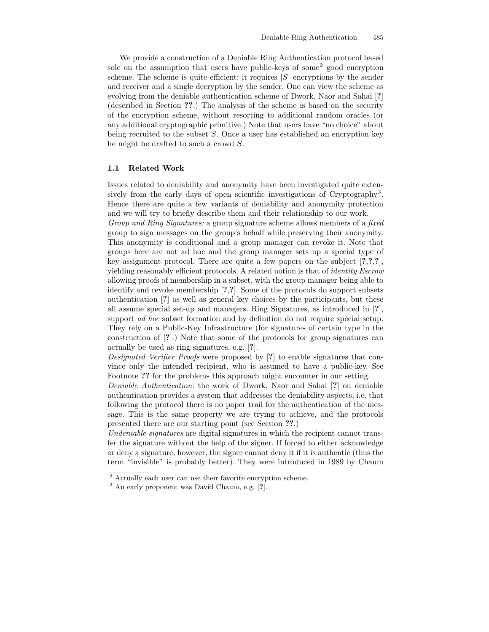We provide a construction of a Deniable Ring Authentication protocol based sole on the assumption that users have public-keys of some  $2$  good encryption scheme. The scheme is quite efficient: it requires  $|S|$  encryptions by the sender and receiver and a single decryption by the sender. One can view the scheme as evolving from the deniable authentication scheme of Dwork, Naor and Sahai [?] (described in Section ??.) The analysis of the scheme is based on the security of the encryption scheme, without resorting to additional random oracles (or any additional cryptographic primitive.) Note that users have "no choice" about being recruited to the subset S. Once a user has established an encryption key he might be drafted to such a crowd S.

### 1.1 Related Work

Issues related to deniability and anonymity have been investigated quite extensively from the early days of open scientific investigations of Cryptography<sup>3</sup>. Hence there are quite a few variants of deniability and anonymity protection and we will try to briefly describe them and their relationship to our work.

Group and Ring Signatures: a group signature scheme allows members of a fixed group to sign messages on the group's behalf while preserving their anonymity. This anonymity is conditional and a group manager can revoke it. Note that groups here are not ad hoc and the group manager sets up a special type of key assignment protocol. There are quite a few papers on the subject  $[?,?,?,]$ , yielding reasonably efficient protocols. A related notion is that of identity Escrow allowing proofs of membership in a subset, with the group manager being able to identify and revoke membership [?,?]. Some of the protocols do support subsets authentication [?] as well as general key choices by the participants, but these all assume special set-up and managers. Ring Signatures, as introduced in [?], support *ad hoc* subset formation and by definition do not require special setup. They rely on a Public-Key Infrastructure (for signatures of certain type in the construction of [?].) Note that some of the protocols for group signatures can actually be used as ring signatures, e.g. [?].

Designated Verifier Proofs were proposed by [?] to enable signatures that convince only the intended recipient, who is assumed to have a public-key. See Footnote ?? for the problems this approach might encounter in our setting.

Deniable Authentication: the work of Dwork, Naor and Sahai [?] on deniable authentication provides a system that addresses the deniability aspects, i.e. that following the protocol there is no paper trail for the authentication of the message. This is the same property we are trying to achieve, and the protocols presented there are our starting point (see Section ??.)

Undeniable signatures are digital signatures in which the recipient cannot transfer the signature without the help of the signer. If forced to either acknowledge or deny a signature, however, the signer cannot deny it if it is authentic (thus the term "invisible" is probably better). They were introduced in 1989 by Chaum

 $^{\rm 2}$  Actually each user can use their favorite encryption scheme.

<sup>3</sup> An early proponent was David Chaum, e.g. [?].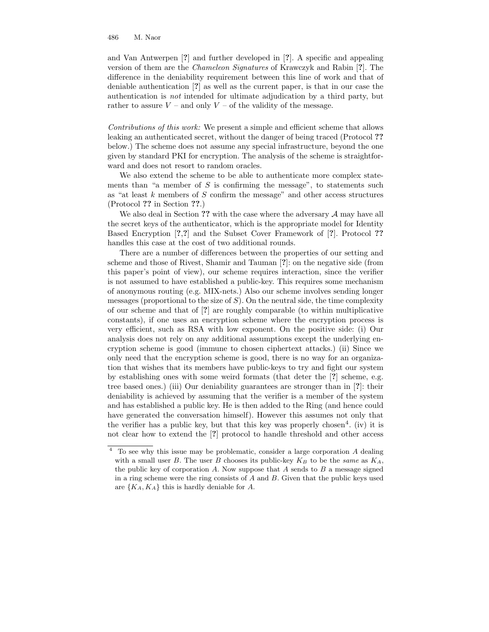and Van Antwerpen [?] and further developed in [?]. A specific and appealing version of them are the Chameleon Signatures of Krawczyk and Rabin [?]. The difference in the deniability requirement between this line of work and that of deniable authentication [?] as well as the current paper, is that in our case the authentication is not intended for ultimate adjudication by a third party, but rather to assure  $V$  – and only  $V$  – of the validity of the message.

Contributions of this work: We present a simple and efficient scheme that allows leaking an authenticated secret, without the danger of being traced (Protocol ?? below.) The scheme does not assume any special infrastructure, beyond the one given by standard PKI for encryption. The analysis of the scheme is straightforward and does not resort to random oracles.

We also extend the scheme to be able to authenticate more complex statements than "a member of  $S$  is confirming the message", to statements such as "at least k members of S confirm the message" and other access structures (Protocol ?? in Section ??.)

We also deal in Section ?? with the case where the adversary  $A$  may have all the secret keys of the authenticator, which is the appropriate model for Identity Based Encryption [?,?] and the Subset Cover Framework of [?]. Protocol ?? handles this case at the cost of two additional rounds.

There are a number of differences between the properties of our setting and scheme and those of Rivest, Shamir and Tauman [?]: on the negative side (from this paper's point of view), our scheme requires interaction, since the verifier is not assumed to have established a public-key. This requires some mechanism of anonymous routing (e.g. MIX-nets.) Also our scheme involves sending longer messages (proportional to the size of  $S$ ). On the neutral side, the time complexity of our scheme and that of [?] are roughly comparable (to within multiplicative constants), if one uses an encryption scheme where the encryption process is very efficient, such as RSA with low exponent. On the positive side: (i) Our analysis does not rely on any additional assumptions except the underlying encryption scheme is good (immune to chosen ciphertext attacks.) (ii) Since we only need that the encryption scheme is good, there is no way for an organization that wishes that its members have public-keys to try and fight our system by establishing ones with some weird formats (that deter the [?] scheme, e.g. tree based ones.) (iii) Our deniability guarantees are stronger than in [?]: their deniability is achieved by assuming that the verifier is a member of the system and has established a public key. He is then added to the Ring (and hence could have generated the conversation himself). However this assumes not only that the verifier has a public key, but that this key was properly chosen<sup>4</sup>. (iv) it is not clear how to extend the [?] protocol to handle threshold and other access

 $4$  To see why this issue may be problematic, consider a large corporation A dealing with a small user B. The user B chooses its public-key  $K_B$  to be the same as  $K_A$ , the public key of corporation  $A$ . Now suppose that  $A$  sends to  $B$  a message signed in a ring scheme were the ring consists of A and B. Given that the public keys used are  $\{K_A, K_A\}$  this is hardly deniable for A.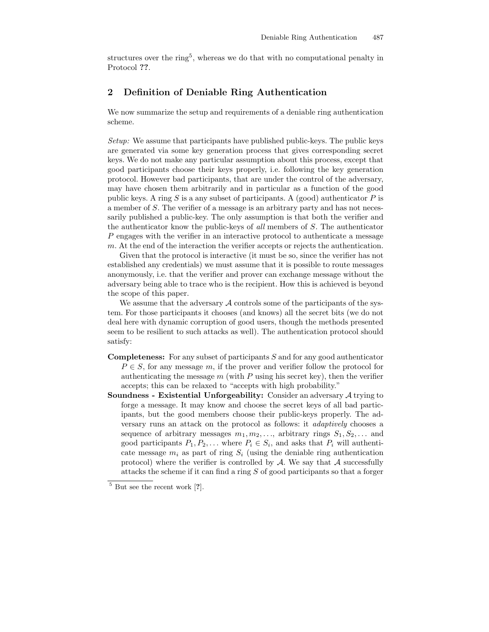structures over the ring<sup>5</sup>, whereas we do that with no computational penalty in Protocol ??.

## 2 Definition of Deniable Ring Authentication

We now summarize the setup and requirements of a deniable ring authentication scheme.

Setup: We assume that participants have published public-keys. The public keys are generated via some key generation process that gives corresponding secret keys. We do not make any particular assumption about this process, except that good participants choose their keys properly, i.e. following the key generation protocol. However bad participants, that are under the control of the adversary, may have chosen them arbitrarily and in particular as a function of the good public keys. A ring  $S$  is a any subset of participants. A (good) authenticator  $P$  is a member of S. The verifier of a message is an arbitrary party and has not necessarily published a public-key. The only assumption is that both the verifier and the authenticator know the public-keys of all members of S. The authenticator P engages with the verifier in an interactive protocol to authenticate a message m. At the end of the interaction the verifier accepts or rejects the authentication.

Given that the protocol is interactive (it must be so, since the verifier has not established any credentials) we must assume that it is possible to route messages anonymously, i.e. that the verifier and prover can exchange message without the adversary being able to trace who is the recipient. How this is achieved is beyond the scope of this paper.

We assume that the adversary  $A$  controls some of the participants of the system. For those participants it chooses (and knows) all the secret bits (we do not deal here with dynamic corruption of good users, though the methods presented seem to be resilient to such attacks as well). The authentication protocol should satisfy:

- Completeness: For any subset of participants S and for any good authenticator  $P \in S$ , for any message m, if the prover and verifier follow the protocol for authenticating the message  $m$  (with  $P$  using his secret key), then the verifier accepts; this can be relaxed to "accepts with high probability."
- Soundness Existential Unforgeability: Consider an adversary A trying to forge a message. It may know and choose the secret keys of all bad participants, but the good members choose their public-keys properly. The adversary runs an attack on the protocol as follows: it adaptively chooses a sequence of arbitrary messages  $m_1, m_2, \ldots$ , arbitrary rings  $S_1, S_2, \ldots$  and good participants  $P_1, P_2, \ldots$  where  $P_i \in S_i$ , and asks that  $P_i$  will authenticate message  $m_i$  as part of ring  $S_i$  (using the deniable ring authentication protocol) where the verifier is controlled by  $A$ . We say that  $A$  successfully attacks the scheme if it can find a ring S of good participants so that a forger

 $5$  But see the recent work [?].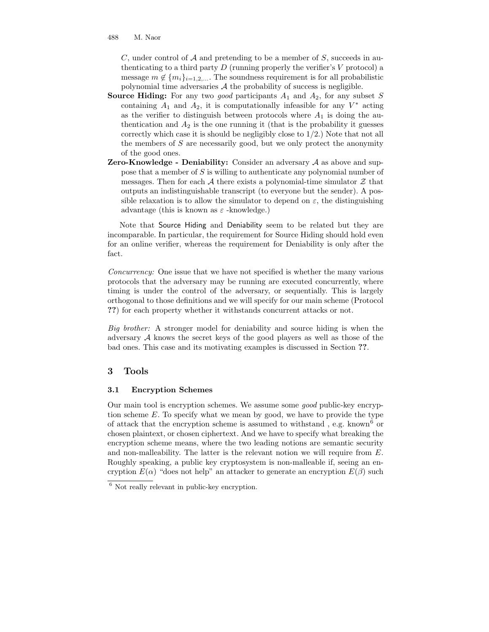C, under control of  $A$  and pretending to be a member of  $S$ , succeeds in authenticating to a third party  $D$  (running properly the verifier's  $V$  protocol) a message  $m \notin \{m_i\}_{i=1,2,...}$ . The soundness requirement is for all probabilistic polynomial time adversaries  $A$  the probability of success is negligible.

- **Source Hiding:** For any two good participants  $A_1$  and  $A_2$ , for any subset S containing  $A_1$  and  $A_2$ , it is computationally infeasible for any  $V^*$  acting as the verifier to distinguish between protocols where  $A_1$  is doing the authentication and  $A_2$  is the one running it (that is the probability it guesses correctly which case it is should be negligibly close to  $1/2$ .) Note that not all the members of  $S$  are necessarily good, but we only protect the anonymity of the good ones.
- **Zero-Knowledge Deniability:** Consider an adversary  $A$  as above and suppose that a member of S is willing to authenticate any polynomial number of messages. Then for each  $\mathcal A$  there exists a polynomial-time simulator  $\mathcal Z$  that outputs an indistinguishable transcript (to everyone but the sender). A possible relaxation is to allow the simulator to depend on  $\varepsilon$ , the distinguishing advantage (this is known as  $\varepsilon$  -knowledge.)

Note that Source Hiding and Deniability seem to be related but they are incomparable. In particular, the requirement for Source Hiding should hold even for an online verifier, whereas the requirement for Deniability is only after the fact.

Concurrency: One issue that we have not specified is whether the many various protocols that the adversary may be running are executed concurrently, where timing is under the control of the adversary, or sequentially. This is largely orthogonal to those definitions and we will specify for our main scheme (Protocol ??) for each property whether it withstands concurrent attacks or not.

Big brother: A stronger model for deniability and source hiding is when the adversary A knows the secret keys of the good players as well as those of the bad ones. This case and its motivating examples is discussed in Section ??.

# 3 Tools

### 3.1 Encryption Schemes

Our main tool is encryption schemes. We assume some good public-key encryption scheme E. To specify what we mean by good, we have to provide the type of attack that the encryption scheme is assumed to withstand, e.g. known<sup>6</sup> or chosen plaintext, or chosen ciphertext. And we have to specify what breaking the encryption scheme means, where the two leading notions are semantic security and non-malleability. The latter is the relevant notion we will require from E. Roughly speaking, a public key cryptosystem is non-malleable if, seeing an encryption  $E(\alpha)$  "does not help" an attacker to generate an encryption  $E(\beta)$  such

<sup>6</sup> Not really relevant in public-key encryption.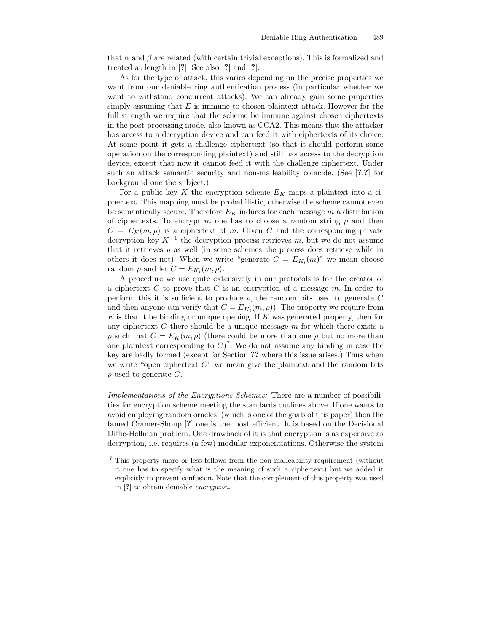that  $\alpha$  and  $\beta$  are related (with certain trivial exceptions). This is formalized and treated at length in [?]. See also [?] and [?].

As for the type of attack, this varies depending on the precise properties we want from our deniable ring authentication process (in particular whether we want to withstand concurrent attacks). We can already gain some properties simply assuming that  $E$  is immune to chosen plaintext attack. However for the full strength we require that the scheme be immune against chosen ciphertexts in the post-processing mode, also known as CCA2. This means that the attacker has access to a decryption device and can feed it with ciphertexts of its choice. At some point it gets a challenge ciphertext (so that it should perform some operation on the corresponding plaintext) and still has access to the decryption device, except that now it cannot feed it with the challenge ciphertext. Under such an attack semantic security and non-malleability coincide. (See [?,?] for background one the subject.)

For a public key K the encryption scheme  $E_K$  maps a plaintext into a ciphertext. This mapping must be probabilistic, otherwise the scheme cannot even be semantically secure. Therefore  $E_K$  induces for each message m a distribution of ciphertexts. To encrypt m one has to choose a random string  $\rho$  and then  $C = E_K(m, \rho)$  is a ciphertext of m. Given C and the corresponding private decryption key  $K^{-1}$  the decryption process retrieves m, but we do not assume that it retrieves  $\rho$  as well (in some schemes the process does retrieve while in others it does not). When we write "generate  $C = E_{K_i}(m)$ " we mean choose random  $\rho$  and let  $C = E_{K_i}(m, \rho)$ .

A procedure we use quite extensively in our protocols is for the creator of a ciphertext C to prove that C is an encryption of a message  $m$ . In order to perform this it is sufficient to produce  $\rho$ , the random bits used to generate C and then anyone can verify that  $C = E_{K_i}(m, \rho)$ . The property we require from  $E$  is that it be binding or unique opening. If  $K$  was generated properly, then for any ciphertext C there should be a unique message  $m$  for which there exists a  $\rho$  such that  $C = E_K(m, \rho)$  (there could be more than one  $\rho$  but no more than one plaintext corresponding to  $C$ <sup>7</sup>. We do not assume any binding in case the key are badly formed (except for Section ?? where this issue arises.) Thus when we write "open ciphertext  $C$ " we mean give the plaintext and the random bits  $\rho$  used to generate C.

Implementations of the Encryptions Schemes: There are a number of possibilities for encryption scheme meeting the standards outlines above. If one wants to avoid employing random oracles, (which is one of the goals of this paper) then the famed Cramer-Shoup [?] one is the most efficient. It is based on the Decisional Diffie-Hellman problem. One drawback of it is that encryption is as expensive as decryption, i.e. requires (a few) modular exponentiations. Otherwise the system

 $^7$  This property more or less follows from the non-malleability requirement (without it one has to specify what is the meaning of such a ciphertext) but we added it explicitly to prevent confusion. Note that the complement of this property was used in [?] to obtain deniable encryption.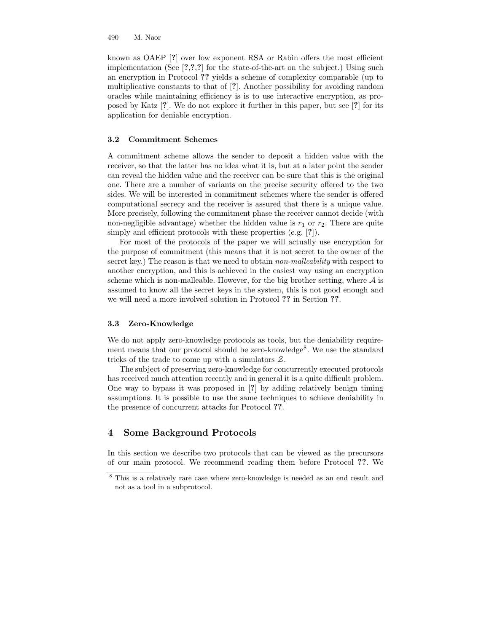known as OAEP [?] over low exponent RSA or Rabin offers the most efficient implementation (See [?,?,?] for the state-of-the-art on the subject.) Using such an encryption in Protocol ?? yields a scheme of complexity comparable (up to multiplicative constants to that of [?]. Another possibility for avoiding random oracles while maintaining efficiency is is to use interactive encryption, as proposed by Katz [?]. We do not explore it further in this paper, but see [?] for its application for deniable encryption.

### 3.2 Commitment Schemes

A commitment scheme allows the sender to deposit a hidden value with the receiver, so that the latter has no idea what it is, but at a later point the sender can reveal the hidden value and the receiver can be sure that this is the original one. There are a number of variants on the precise security offered to the two sides. We will be interested in commitment schemes where the sender is offered computational secrecy and the receiver is assured that there is a unique value. More precisely, following the commitment phase the receiver cannot decide (with non-negligible advantage) whether the hidden value is  $r_1$  or  $r_2$ . There are quite simply and efficient protocols with these properties (e.g. [?]).

For most of the protocols of the paper we will actually use encryption for the purpose of commitment (this means that it is not secret to the owner of the secret key.) The reason is that we need to obtain *non-malleability* with respect to another encryption, and this is achieved in the easiest way using an encryption scheme which is non-malleable. However, for the big brother setting, where  $A$  is assumed to know all the secret keys in the system, this is not good enough and we will need a more involved solution in Protocol ?? in Section ??.

### 3.3 Zero-Knowledge

We do not apply zero-knowledge protocols as tools, but the deniability requirement means that our protocol should be zero-knowledge<sup>8</sup>. We use the standard tricks of the trade to come up with a simulators  $\mathcal{Z}$ .

The subject of preserving zero-knowledge for concurrently executed protocols has received much attention recently and in general it is a quite difficult problem. One way to bypass it was proposed in [?] by adding relatively benign timing assumptions. It is possible to use the same techniques to achieve deniability in the presence of concurrent attacks for Protocol ??.

# 4 Some Background Protocols

In this section we describe two protocols that can be viewed as the precursors of our main protocol. We recommend reading them before Protocol ??. We

<sup>8</sup> This is a relatively rare case where zero-knowledge is needed as an end result and not as a tool in a subprotocol.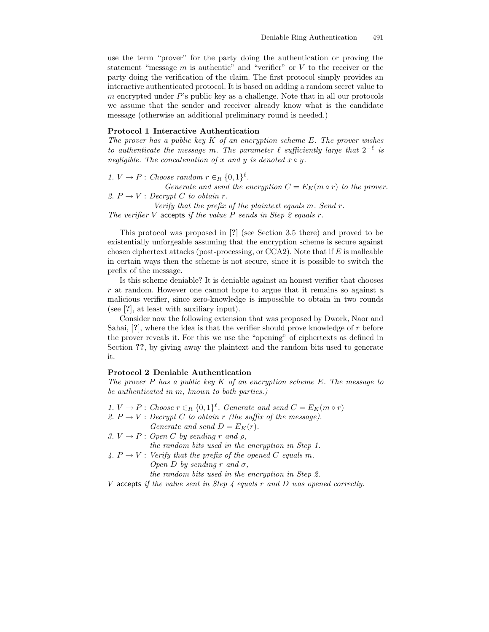use the term "prover" for the party doing the authentication or proving the statement "message  $m$  is authentic" and "verifier" or  $V$  to the receiver or the party doing the verification of the claim. The first protocol simply provides an interactive authenticated protocol. It is based on adding a random secret value to  $m$  encrypted under  $P$ 's public key as a challenge. Note that in all our protocols we assume that the sender and receiver already know what is the candidate message (otherwise an additional preliminary round is needed.)

### Protocol 1 Interactive Authentication

The prover has a public key  $K$  of an encryption scheme  $E$ . The prover wishes to authenticate the message m. The parameter  $\ell$  sufficiently large that  $2^{-\ell}$  is negligible. The concatenation of x and y is denoted  $x \circ y$ .

1.  $V \rightarrow P$ : Choose random  $r \in_R \{0,1\}^{\ell}$ .

Generate and send the encryption  $C = E_K(m \circ r)$  to the prover. 2.  $P \rightarrow V$ : Decrypt C to obtain r.

Verify that the prefix of the plaintext equals  $m$ . Send  $r$ .

The verifier  $V$  accepts if the value  $P$  sends in Step 2 equals  $r$ .

This protocol was proposed in [?] (see Section 3.5 there) and proved to be existentially unforgeable assuming that the encryption scheme is secure against chosen ciphertext attacks (post-processing, or  $\text{CCA2}$ ). Note that if E is malleable in certain ways then the scheme is not secure, since it is possible to switch the prefix of the message.

Is this scheme deniable? It is deniable against an honest verifier that chooses r at random. However one cannot hope to argue that it remains so against a malicious verifier, since zero-knowledge is impossible to obtain in two rounds (see [?], at least with auxiliary input).

Consider now the following extension that was proposed by Dwork, Naor and Sahai,  $[?]$ , where the idea is that the verifier should prove knowledge of  $r$  before the prover reveals it. For this we use the "opening" of ciphertexts as defined in Section ??, by giving away the plaintext and the random bits used to generate it.

### Protocol 2 Deniable Authentication

The prover  $P$  has a public key  $K$  of an encryption scheme  $E$ . The message to be authenticated in m, known to both parties.)

- 1.  $V \to P$ : Choose  $r \in_R \{0,1\}^{\ell}$ . Generate and send  $C = E_K(m \circ r)$
- 2.  $P \rightarrow V$ : Decrypt C to obtain r (the suffix of the message).
	- Generate and send  $D = E_K(r)$ .
- 3.  $V \rightarrow P$ : Open C by sending r and  $\rho$ , the random bits used in the encryption in Step 1.
- 4.  $P \rightarrow V$ : Verify that the prefix of the opened C equals m. Open D by sending r and  $\sigma$ ,

the random bits used in the encryption in Step 2.

V accepts if the value sent in Step  $\lambda$  equals r and D was opened correctly.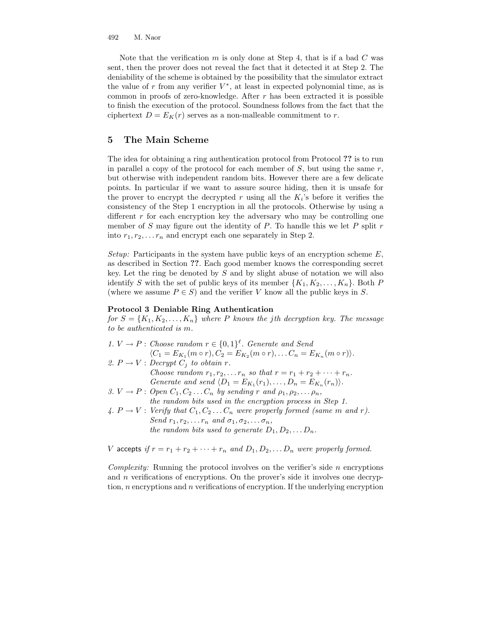Note that the verification  $m$  is only done at Step 4, that is if a bad  $C$  was sent, then the prover does not reveal the fact that it detected it at Step 2. The deniability of the scheme is obtained by the possibility that the simulator extract the value of r from any verifier  $V^*$ , at least in expected polynomial time, as is common in proofs of zero-knowledge. After  $r$  has been extracted it is possible to finish the execution of the protocol. Soundness follows from the fact that the ciphertext  $D = E_K(r)$  serves as a non-malleable commitment to r.

# 5 The Main Scheme

The idea for obtaining a ring authentication protocol from Protocol ?? is to run in parallel a copy of the protocol for each member of  $S$ , but using the same  $r$ , but otherwise with independent random bits. However there are a few delicate points. In particular if we want to assure source hiding, then it is unsafe for the prover to encrypt the decrypted r using all the  $K_i$ 's before it verifies the consistency of the Step 1 encryption in all the protocols. Otherwise by using a different r for each encryption key the adversary who may be controlling one member of  $S$  may figure out the identity of  $P$ . To handle this we let  $P$  split  $r$ into  $r_1, r_2, \ldots r_n$  and encrypt each one separately in Step 2.

Setup: Participants in the system have public keys of an encryption scheme  $E$ , as described in Section ??. Each good member knows the corresponding secret key. Let the ring be denoted by  $S$  and by slight abuse of notation we will also identify S with the set of public keys of its member  $\{K_1, K_2, \ldots, K_n\}$ . Both P (where we assume  $P \in S$ ) and the verifier V know all the public keys in S.

### Protocol 3 Deniable Ring Authentication

for  $S = \{K_1, K_2, \ldots, K_n\}$  where P knows the jth decryption key. The message to be authenticated is m.

1.  $V \to P$ : Choose random  $r \in \{0,1\}^{\ell}$ . Generate and Send  $\langle C_1 = E_{K_1}(m \circ r), C_2 = E_{K_2}(m \circ r), \dots C_n = E_{K_n}(m \circ r) \rangle.$ 2.  $P \rightarrow V$ : Decrypt  $C_j$  to obtain r. Choose random  $r_1, r_2, \ldots r_n$  so that  $r = r_1 + r_2 + \cdots + r_n$ . Generate and send  $\langle D_1 = E_{K_1}(r_1), \ldots, D_n = E_{K_n}(r_n) \rangle$ . 3.  $V \rightarrow P$ : Open  $C_1, C_2 \dots C_n$  by sending r and  $\rho_1, \rho_2, \dots \rho_n$ , the random bits used in the encryption process in Step 1. 4.  $P \rightarrow V$ : Verify that  $C_1, C_2 \ldots C_n$  were properly formed (same m and r). Send  $r_1, r_2, \ldots r_n$  and  $\sigma_1, \sigma_2, \ldots \sigma_n$ , the random bits used to generate  $D_1, D_2, \ldots D_n$ .

V accepts if  $r = r_1 + r_2 + \cdots + r_n$  and  $D_1, D_2, \ldots, D_n$  were properly formed.

*Complexity:* Running the protocol involves on the verifier's side  $n$  encryptions and  $n$  verifications of encryptions. On the prover's side it involves one decryption,  $n$  encryptions and  $n$  verifications of encryption. If the underlying encryption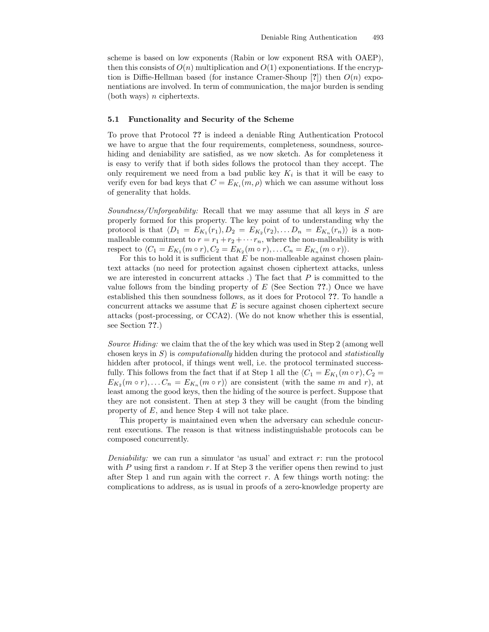scheme is based on low exponents (Rabin or low exponent RSA with OAEP), then this consists of  $O(n)$  multiplication and  $O(1)$  exponentiations. If the encryption is Diffie-Hellman based (for instance Cramer-Shoup [?]) then  $O(n)$  exponentiations are involved. In term of communication, the major burden is sending (both ways)  $n$  ciphertexts.

#### 5.1 Functionality and Security of the Scheme

To prove that Protocol ?? is indeed a deniable Ring Authentication Protocol we have to argue that the four requirements, completeness, soundness, sourcehiding and deniability are satisfied, as we now sketch. As for completeness it is easy to verify that if both sides follows the protocol than they accept. The only requirement we need from a bad public key  $K_i$  is that it will be easy to verify even for bad keys that  $C = E_{K_i}(m, \rho)$  which we can assume without loss of generality that holds.

Soundness/Unforgeability: Recall that we may assume that all keys in  $S$  are properly formed for this property. The key point of to understanding why the protocol is that  $\langle D_1 = E_{K_1}(r_1), D_2 = E_{K_2}(r_2), \ldots D_n = E_{K_n}(r_n) \rangle$  is a nonmalleable commitment to  $r = r_1 + r_2 + \cdots + r_n$ , where the non-malleability is with respect to  $\langle C_1 = E_{K_1}(m \circ r), C_2 = E_{K_2}(m \circ r), \dots C_n = E_{K_n}(m \circ r) \rangle$ .

For this to hold it is sufficient that  $E$  be non-malleable against chosen plaintext attacks (no need for protection against chosen ciphertext attacks, unless we are interested in concurrent attacks.) The fact that  $P$  is committed to the value follows from the binding property of  $E$  (See Section ??.) Once we have established this then soundness follows, as it does for Protocol ??. To handle a concurrent attacks we assume that  $E$  is secure against chosen ciphertext secure attacks (post-processing, or CCA2). (We do not know whether this is essential, see Section ??.)

Source Hiding: we claim that the of the key which was used in Step 2 (among well chosen keys in  $S$ ) is *computationally* hidden during the protocol and *statistically* hidden after protocol, if things went well, i.e. the protocol terminated successfully. This follows from the fact that if at Step 1 all the  $\langle C_1 = E_{K_1}(m \circ r), C_2 =$  $E_{K_2}(m \circ r), \ldots C_n = E_{K_n}(m \circ r)$  are consistent (with the same m and r), at least among the good keys, then the hiding of the source is perfect. Suppose that they are not consistent. Then at step 3 they will be caught (from the binding property of E, and hence Step 4 will not take place.

This property is maintained even when the adversary can schedule concurrent executions. The reason is that witness indistinguishable protocols can be composed concurrently.

Deniability: we can run a simulator 'as usual' and extract  $r$ : run the protocol with P using first a random r. If at Step 3 the verifier opens then rewind to just after Step 1 and run again with the correct  $r$ . A few things worth noting: the complications to address, as is usual in proofs of a zero-knowledge property are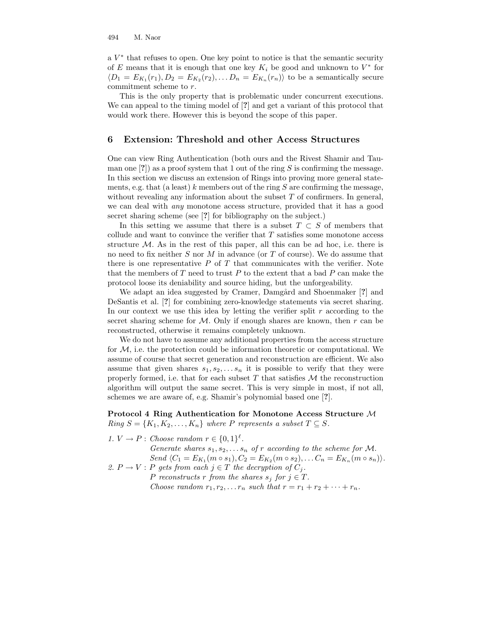$a V^*$  that refuses to open. One key point to notice is that the semantic security of E means that it is enough that one key  $K_i$  be good and unknown to  $V^*$  for  $\langle D_1 = E_{K_1}(r_1), D_2 = E_{K_2}(r_2), \ldots D_n = E_{K_n}(r_n) \rangle$  to be a semantically secure commitment scheme to r.

This is the only property that is problematic under concurrent executions. We can appeal to the timing model of [?] and get a variant of this protocol that would work there. However this is beyond the scope of this paper.

### 6 Extension: Threshold and other Access Structures

One can view Ring Authentication (both ours and the Rivest Shamir and Tauman one  $[?]$  as a proof system that 1 out of the ring S is confirming the message. In this section we discuss an extension of Rings into proving more general statements, e.g. that (a least) k members out of the ring S are confirming the message. without revealing any information about the subset  $T$  of confirmers. In general, we can deal with any monotone access structure, provided that it has a good secret sharing scheme (see [?] for bibliography on the subject.)

In this setting we assume that there is a subset  $T \subset S$  of members that collude and want to convince the verifier that T satisfies some monotone access structure  $M$ . As in the rest of this paper, all this can be ad hoc, i.e. there is no need to fix neither  $S$  nor  $M$  in advance (or  $T$  of course). We do assume that there is one representative  $P$  of  $T$  that communicates with the verifier. Note that the members of  $T$  need to trust  $P$  to the extent that a bad  $P$  can make the protocol loose its deniability and source hiding, but the unforgeability.

We adapt an idea suggested by Cramer, Damgård and Shoenmaker [?] and DeSantis et al. [?] for combining zero-knowledge statements via secret sharing. In our context we use this idea by letting the verifier split  $r$  according to the secret sharing scheme for  $M$ . Only if enough shares are known, then r can be reconstructed, otherwise it remains completely unknown.

We do not have to assume any additional properties from the access structure for  $M$ , i.e. the protection could be information theoretic or computational. We assume of course that secret generation and reconstruction are efficient. We also assume that given shares  $s_1, s_2, \ldots s_n$  it is possible to verify that they were properly formed, i.e. that for each subset  $T$  that satisfies  $M$  the reconstruction algorithm will output the same secret. This is very simple in most, if not all, schemes we are aware of, e.g. Shamir's polynomial based one [?].

Protocol 4 Ring Authentication for Monotone Access Structure M Ring  $S = \{K_1, K_2, \ldots, K_n\}$  where P represents a subset  $T \subseteq S$ .

1.  $V \rightarrow P$ : Choose random  $r \in \{0,1\}^{\ell}$ . Generate shares  $s_1, s_2, \ldots s_n$  of r according to the scheme for M. Send  $\langle C_1 = E_{K_1}(m \circ s_1), C_2 = E_{K_2}(m \circ s_2), \ldots C_n = E_{K_n}(m \circ s_n) \rangle$ . 2.  $P \to V : P$  gets from each  $j \in T$  the decryption of  $C_j$ . P reconstructs r from the shares  $s_j$  for  $j \in T$ . Choose random  $r_1, r_2, \ldots r_n$  such that  $r = r_1 + r_2 + \cdots + r_n$ .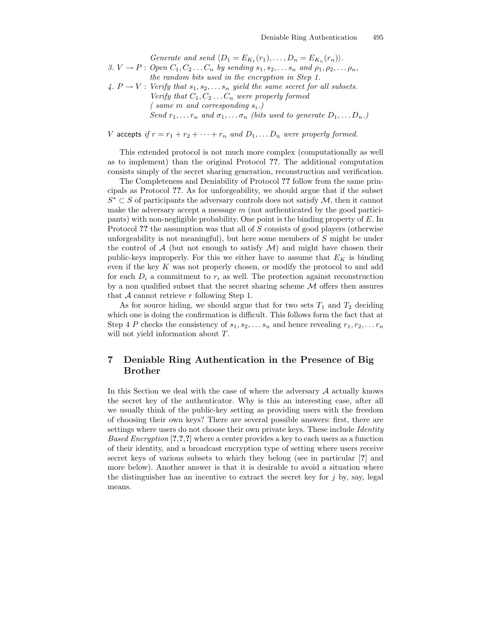Generate and send  $\langle D_1 = E_{K_1}(r_1), \ldots, D_n = E_{K_n}(r_n) \rangle$ . 3.  $V \rightarrow P$ : Open  $C_1, C_2 \ldots C_n$  by sending  $s_1, s_2, \ldots s_n$  and  $\rho_1, \rho_2, \ldots \rho_n$ , the random bits used in the encryption in Step 1. 4.  $P \rightarrow V$ : Verify that  $s_1, s_2, \ldots s_n$  yield the same secret for all subsets.

Verify that  $C_1, C_2 \ldots C_n$  were properly formed ( same m and corresponding  $s_i$ .) Send  $r_1, \ldots r_n$  and  $\sigma_1, \ldots \sigma_n$  (bits used to generate  $D_1, \ldots D_n$ .)

V accepts if  $r = r_1 + r_2 + \cdots + r_n$  and  $D_1, \ldots D_n$  were properly formed.

This extended protocol is not much more complex (computationally as well as to implement) than the original Protocol ??. The additional computation consists simply of the secret sharing generation, reconstruction and verification.

The Completeness and Deniability of Protocol ?? follow from the same principals as Protocol ??. As for unforgeability, we should argue that if the subset  $S^* \subset S$  of participants the adversary controls does not satisfy M, then it cannot make the adversary accept a message  $m$  (not authenticated by the good participants) with non-negligible probability. One point is the binding property of E. In Protocol ?? the assumption was that all of S consists of good players (otherwise unforgeability is not meaningful), but here some members of S might be under the control of  $A$  (but not enough to satisfy  $M$ ) and might have chosen their public-keys improperly. For this we either have to assume that  $E_K$  is binding even if the key K was not properly chosen, or modify the protocol to and add for each  $D_i$  a commitment to  $r_i$  as well. The protection against reconstruction by a non qualified subset that the secret sharing scheme  $M$  offers then assures that A cannot retrieve r following Step 1.

As for source hiding, we should argue that for two sets  $T_1$  and  $T_2$  deciding which one is doing the confirmation is difficult. This follows form the fact that at Step 4 P checks the consistency of  $s_1, s_2, \ldots s_n$  and hence revealing  $r_1, r_2, \ldots r_n$ will not yield information about  $T$ .

# 7 Deniable Ring Authentication in the Presence of Big Brother

In this Section we deal with the case of where the adversary  $A$  actually knows the secret key of the authenticator. Why is this an interesting case, after all we usually think of the public-key setting as providing users with the freedom of choosing their own keys? There are several possible answers: first, there are settings where users do not choose their own private keys. These include *Identity Based Encryption*  $[?,?,?]$  where a center provides a key to each users as a function of their identity, and a broadcast encryption type of setting where users receive secret keys of various subsets to which they belong (see in particular [?] and more below). Another answer is that it is desirable to avoid a situation where the distinguisher has an incentive to extract the secret key for  $j$  by, say, legal means.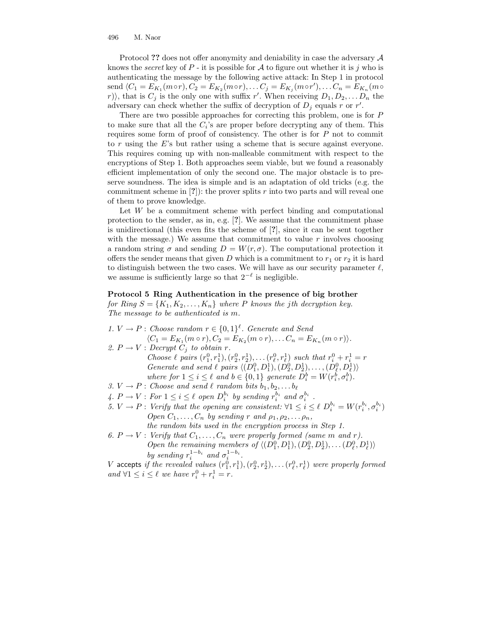Protocol ?? does not offer anonymity and deniability in case the adversary  $A$ knows the secret key of  $P$  - it is possible for  $A$  to figure out whether it is j who is authenticating the message by the following active attack: In Step 1 in protocol send  $\langle C_1 = E_{K_1}(m \circ r), C_2 = E_{K_2}(m \circ r), \ldots C_j = E_{K_j}(m \circ r'), \ldots C_n = E_{K_n}(m \circ r)$ r)), that is  $C_j$  is the only one with suffix r'. When receiving  $D_1, D_2, \ldots, D_n$  the adversary can check whether the suffix of decryption of  $D_j$  equals r or r'.

There are two possible approaches for correcting this problem, one is for P to make sure that all the  $C_i$ 's are proper before decrypting any of them. This requires some form of proof of consistency. The other is for P not to commit to  $r$  using the  $E$ 's but rather using a scheme that is secure against everyone. This requires coming up with non-malleable commitment with respect to the encryptions of Step 1. Both approaches seem viable, but we found a reasonably efficient implementation of only the second one. The major obstacle is to preserve soundness. The idea is simple and is an adaptation of old tricks (e.g. the commitment scheme in  $[?]$ : the prover splits r into two parts and will reveal one of them to prove knowledge.

Let  $W$  be a commitment scheme with perfect binding and computational protection to the sender, as in, e.g. [?]. We assume that the commitment phase is unidirectional (this even fits the scheme of [?], since it can be sent together with the message.) We assume that commitment to value  $r$  involves choosing a random string  $\sigma$  and sending  $D = W(r, \sigma)$ . The computational protection it offers the sender means that given D which is a commitment to  $r_1$  or  $r_2$  it is hard to distinguish between the two cases. We will have as our security parameter  $\ell$ , we assume is sufficiently large so that  $2^{-\ell}$  is negligible.

### Protocol 5 Ring Authentication in the presence of big brother

for Ring  $S = \{K_1, K_2, \ldots, K_n\}$  where P knows the jth decryption key. The message to be authenticated is m.

- 1.  $V \to P$ : Choose random  $r \in \{0,1\}^{\ell}$ . Generate and Send
- $\langle C_1 = E_{K_1}(m \circ r), C_2 = E_{K_2}(m \circ r), \dots C_n = E_{K_n}(m \circ r) \rangle.$ 2.  $P \rightarrow V$ : Decrypt  $C_j$  to obtain r.

Choose  $\ell$  pairs  $(r_1^0, r_1^1), (r_2^0, r_2^1), \ldots (r_\ell^0, r_\ell^1)$  such that  $r_i^0 + r_i^1 = r$ Generate and send  $\ell$  pairs  $\langle (D_1^0, D_1^1), (D_2^0, D_2^1), \ldots, (D_\ell^0, D_\ell^1) \rangle$ where for  $1 \leq i \leq \ell$  and  $b \in \{0,1\}$  generate  $D_i^b = W(r_i^b, \sigma_i^b)$ .

- 3.  $V \rightarrow P$ : Choose and send  $\ell$  random bits  $b_1, b_2, \ldots b_\ell$
- 4.  $P \to V$ : For  $1 \leq i \leq \ell$  open  $D_i^{b_i}$  by sending  $r_i^{b_i}$  and  $\sigma_i^{b_i}$ .  $_i$  by senamy  $r_i$  and  $\sigma_i$
- 5.  $V \to P$ : Verify that the opening are consistent:  $\forall 1 \leq i \leq \ell \ D_i^{b_i} = W(r_i^{b_i}, \sigma_i^{b_i})$ Open  $C_1, \ldots, C_n$  by sending r and  $\rho_1, \rho_2, \ldots, \rho_n$ , the random bits used in the encryption process in Step 1.
- 6.  $P \rightarrow V$ : Verify that  $C_1, \ldots, C_n$  were properly formed (same m and r).
	- Open the remaining members of  $\langle (D_1^0, D_1^1), (D_2^0, D_2^1), \ldots (D_\ell^0, D_\ell^1) \rangle$ by sending  $r_i^{1-b_i}$  and  $\sigma_i^{1-b_i}$ .

V accepts if the revealed values  $(r_1^{\delta}, r_1^1), (r_2^0, r_2^1), \ldots (r_\ell^0, r_\ell^1)$  were properly formed and  $\forall 1 \leq i \leq \ell$  we have  $r_i^0 + r_i^1 = r$ .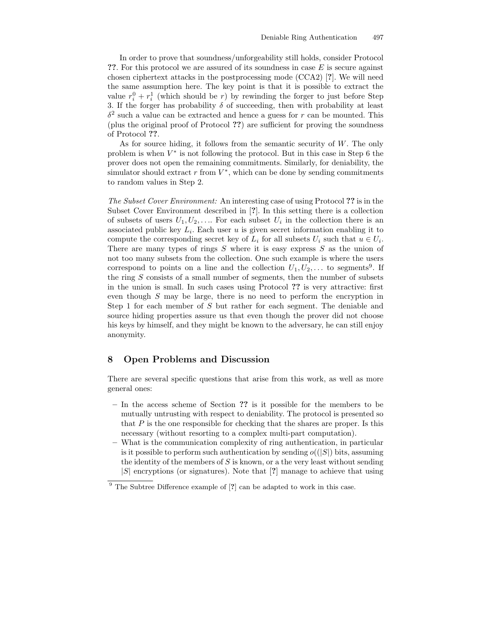In order to prove that soundness/unforgeability still holds, consider Protocol ??. For this protocol we are assured of its soundness in case  $E$  is secure against chosen ciphertext attacks in the postprocessing mode (CCA2) [?]. We will need the same assumption here. The key point is that it is possible to extract the value  $r_i^0 + r_i^1$  (which should be r) by rewinding the forger to just before Step 3. If the forger has probability  $\delta$  of succeeding, then with probability at least  $\delta^2$  such a value can be extracted and hence a guess for r can be mounted. This (plus the original proof of Protocol ??) are sufficient for proving the soundness of Protocol ??.

As for source hiding, it follows from the semantic security of W. The only problem is when  $V^*$  is not following the protocol. But in this case in Step 6 the prover does not open the remaining commitments. Similarly, for deniability, the simulator should extract r from  $V^*$ , which can be done by sending commitments to random values in Step 2.

The Subset Cover Environment: An interesting case of using Protocol ?? is in the Subset Cover Environment described in [?]. In this setting there is a collection of subsets of users  $U_1, U_2, \ldots$  For each subset  $U_i$  in the collection there is an associated public key  $L_i$ . Each user u is given secret information enabling it to compute the corresponding secret key of  $L_i$  for all subsets  $U_i$  such that  $u \in U_i$ . There are many types of rings  $S$  where it is easy express  $S$  as the union of not too many subsets from the collection. One such example is where the users correspond to points on a line and the collection  $U_1, U_2, \ldots$  to segments<sup>9</sup>. If the ring S consists of a small number of segments, then the number of subsets in the union is small. In such cases using Protocol ?? is very attractive: first even though S may be large, there is no need to perform the encryption in Step 1 for each member of S but rather for each segment. The deniable and source hiding properties assure us that even though the prover did not choose his keys by himself, and they might be known to the adversary, he can still enjoy anonymity.

# 8 Open Problems and Discussion

There are several specific questions that arise from this work, as well as more general ones:

- In the access scheme of Section ?? is it possible for the members to be mutually untrusting with respect to deniability. The protocol is presented so that  $P$  is the one responsible for checking that the shares are proper. Is this necessary (without resorting to a complex multi-part computation).
- What is the communication complexity of ring authentication, in particular is it possible to perform such authentication by sending  $o((|S|))$  bits, assuming the identity of the members of  $S$  is known, or a the very least without sending |S| encryptions (or signatures). Note that [?] manage to achieve that using

<sup>9</sup> The Subtree Difference example of [?] can be adapted to work in this case.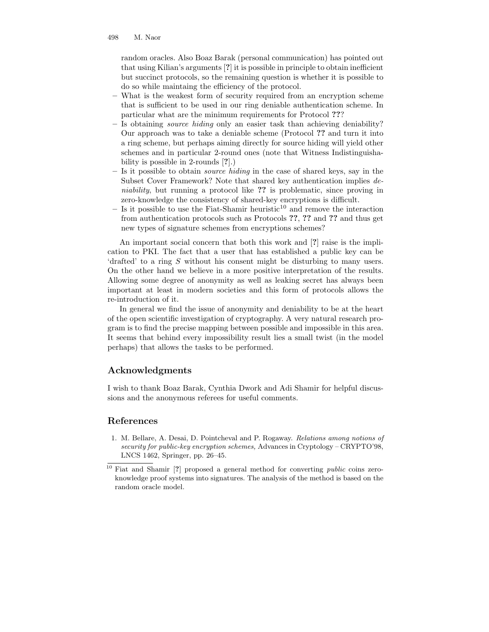random oracles. Also Boaz Barak (personal communication) has pointed out that using Kilian's arguments [?] it is possible in principle to obtain inefficient but succinct protocols, so the remaining question is whether it is possible to do so while maintaing the efficiency of the protocol.

- What is the weakest form of security required from an encryption scheme that is sufficient to be used in our ring deniable authentication scheme. In particular what are the minimum requirements for Protocol ???
- Is obtaining source hiding only an easier task than achieving deniability? Our approach was to take a deniable scheme (Protocol ?? and turn it into a ring scheme, but perhaps aiming directly for source hiding will yield other schemes and in particular 2-round ones (note that Witness Indistinguishability is possible in 2-rounds [?].)
- Is it possible to obtain source hiding in the case of shared keys, say in the Subset Cover Framework? Note that shared key authentication implies deniability, but running a protocol like ?? is problematic, since proving in zero-knowledge the consistency of shared-key encryptions is difficult.
- Is it possible to use the Fiat-Shamir heuristic<sup>10</sup> and remove the interaction from authentication protocols such as Protocols ??, ?? and ?? and thus get new types of signature schemes from encryptions schemes?

An important social concern that both this work and [?] raise is the implication to PKI. The fact that a user that has established a public key can be 'drafted' to a ring S without his consent might be disturbing to many users. On the other hand we believe in a more positive interpretation of the results. Allowing some degree of anonymity as well as leaking secret has always been important at least in modern societies and this form of protocols allows the re-introduction of it.

In general we find the issue of anonymity and deniability to be at the heart of the open scientific investigation of cryptography. A very natural research program is to find the precise mapping between possible and impossible in this area. It seems that behind every impossibility result lies a small twist (in the model perhaps) that allows the tasks to be performed.

# Acknowledgments

I wish to thank Boaz Barak, Cynthia Dwork and Adi Shamir for helpful discussions and the anonymous referees for useful comments.

# References

1. M. Bellare, A. Desai, D. Pointcheval and P. Rogaway. Relations among notions of security for public-key encryption schemes, Advances in Cryptology – CRYPTO'98, LNCS 1462, Springer, pp. 26–45.

<sup>&</sup>lt;sup>10</sup> Fiat and Shamir <sup>[?]</sup> proposed a general method for converting *public* coins zeroknowledge proof systems into signatures. The analysis of the method is based on the random oracle model.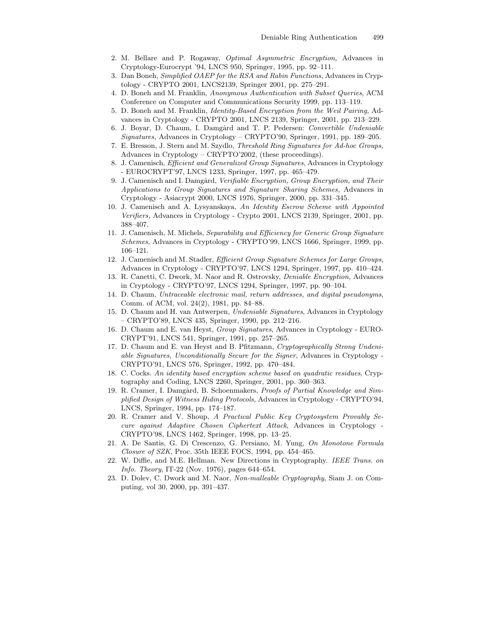- 2. M. Bellare and P. Rogaway, Optimal Asymmetric Encryption, Advances in Cryptology-Eurocrypt '94, LNCS 950, Springer, 1995, pp. 92–111.
- 3. Dan Boneh, Simplified OAEP for the RSA and Rabin Functions, Advances in Cryptology - CRYPTO 2001, LNCS2139, Springer 2001, pp. 275–291.
- 4. D. Boneh and M. Franklin, Anonymous Authentication with Subset Queries, ACM Conference on Computer and Communications Security 1999, pp. 113–119.
- 5. D. Boneh and M. Franklin, Identity-Based Encryption from the Weil Pairing, Advances in Cryptology - CRYPTO 2001, LNCS 2139, Springer, 2001, pp. 213–229.
- 6. J. Boyar, D. Chaum, I. Damgård and T. P. Pedersen: Convertible Undeniable  $Signatures, Advances in Cryptology - CRYPTO'90, Springer, 1991, pp. 189-205.$
- 7. E. Bresson, J. Stern and M. Szydlo, Threshold Ring Signatures for Ad-hoc Groups, Advances in Cryptology – CRYPTO'2002, (these proceedings).
- 8. J. Camenisch, Efficient and Generalized Group Signatures, Advances in Cryptology - EUROCRYPT'97, LNCS 1233, Springer, 1997, pp. 465–479.
- 9. J. Camenisch and I. Damgård, Verifiable Encryption, Group Encryption, and Their Applications to Group Signatures and Signature Sharing Schemes, Advances in Cryptology - Asiacrypt 2000, LNCS 1976, Springer, 2000, pp. 331–345.
- 10. J. Camenisch and A. Lysyanskaya, An Identity Escrow Scheme with Appointed Verifiers, Advances in Cryptology - Crypto 2001, LNCS 2139, Springer, 2001, pp. 388–407.
- 11. J. Camenisch, M. Michels, Separability and Efficiency for Generic Group Signature Schemes, Advances in Cryptology - CRYPTO'99, LNCS 1666, Springer, 1999, pp. 106–121.
- 12. J. Camenisch and M. Stadler, Efficient Group Signature Schemes for Large Groups, Advances in Cryptology - CRYPTO'97, LNCS 1294, Springer, 1997, pp. 410–424.
- 13. R. Canetti, C. Dwork, M. Naor and R. Ostrovsky, Deniable Encryption, Advances in Cryptology - CRYPTO'97, LNCS 1294, Springer, 1997, pp. 90–104.
- 14. D. Chaum, Untraceable electronic mail, return addresses, and digital pseudonyms, Comm. of ACM, vol. 24(2), 1981, pp. 84–88.
- 15. D. Chaum and H. van Antwerpen, Undeniable Signatures, Advances in Cryptology – CRYPTO'89, LNCS 435, Springer, 1990, pp. 212–216.
- 16. D. Chaum and E. van Heyst, Group Signatures, Advances in Cryptology EURO-CRYPT'91, LNCS 541, Springer, 1991, pp. 257–265.
- 17. D. Chaum and E. van Heyst and B. Pfitzmann, Cryptographically Strong Undeniable Signatures, Unconditionally Secure for the Signer, Advances in Cryptology - CRYPTO'91, LNCS 576, Springer, 1992, pp. 470–484.
- 18. C. Cocks. An identity based encryption scheme based on quadratic residues, Cryptography and Coding, LNCS 2260, Springer, 2001, pp. 360–363.
- 19. R. Cramer, I. Damgård, B. Schoenmakers, Proofs of Partial Knowledge and Simplified Design of Witness Hiding Protocols, Advances in Cryptology - CRYPTO'94, LNCS, Springer, 1994, pp. 174–187.
- 20. R. Cramer and V. Shoup, A Practical Public Key Cryptosystem Provably Secure against Adaptive Chosen Ciphertext Attack, Advances in Cryptology CRYPTO'98, LNCS 1462, Springer, 1998, pp. 13–25.
- 21. A. De Santis, G. Di Crescenzo, G. Persiano, M. Yung, On Monotone Formula Closure of SZK, Proc. 35th IEEE FOCS, 1994, pp. 454–465.
- 22. W. Diffie, and M.E. Hellman. New Directions in Cryptography. IEEE Trans. on Info. Theory, IT-22 (Nov. 1976), pages 644–654.
- 23. D. Dolev, C. Dwork and M. Naor, Non-malleable Cryptography, Siam J. on Computing, vol 30, 2000, pp. 391–437.